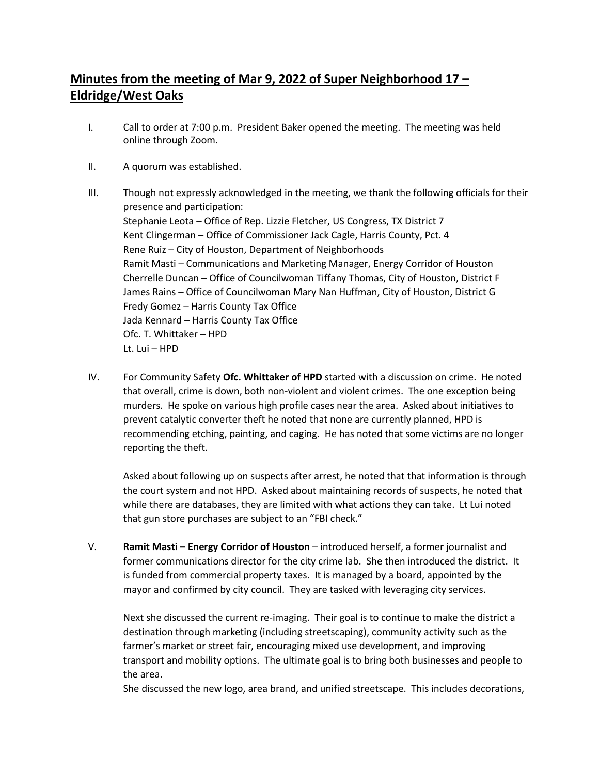## **Minutes from the meeting of Mar 9, 2022 of Super Neighborhood 17 – Eldridge/West Oaks**

- I. Call to order at 7:00 p.m. President Baker opened the meeting. The meeting was held online through Zoom.
- II. A quorum was established.
- III. Though not expressly acknowledged in the meeting, we thank the following officials for their presence and participation: Stephanie Leota – Office of Rep. Lizzie Fletcher, US Congress, TX District 7 Kent Clingerman – Office of Commissioner Jack Cagle, Harris County, Pct. 4 Rene Ruiz – City of Houston, Department of Neighborhoods Ramit Masti – Communications and Marketing Manager, Energy Corridor of Houston Cherrelle Duncan – Office of Councilwoman Tiffany Thomas, City of Houston, District F James Rains – Office of Councilwoman Mary Nan Huffman, City of Houston, District G Fredy Gomez – Harris County Tax Office Jada Kennard – Harris County Tax Office Ofc. T. Whittaker – HPD Lt. Lui – HPD
- IV. For Community Safety **Ofc. Whittaker of HPD** started with a discussion on crime. He noted that overall, crime is down, both non-violent and violent crimes. The one exception being murders. He spoke on various high profile cases near the area. Asked about initiatives to prevent catalytic converter theft he noted that none are currently planned, HPD is recommending etching, painting, and caging. He has noted that some victims are no longer reporting the theft.

Asked about following up on suspects after arrest, he noted that that information is through the court system and not HPD. Asked about maintaining records of suspects, he noted that while there are databases, they are limited with what actions they can take. Lt Lui noted that gun store purchases are subject to an "FBI check."

V. **Ramit Masti – Energy Corridor of Houston** – introduced herself, a former journalist and former communications director for the city crime lab. She then introduced the district. It is funded from **commercial property taxes**. It is managed by a board, appointed by the mayor and confirmed by city council. They are tasked with leveraging city services.

Next she discussed the current re-imaging. Their goal is to continue to make the district a destination through marketing (including streetscaping), community activity such as the farmer's market or street fair, encouraging mixed use development, and improving transport and mobility options. The ultimate goal is to bring both businesses and people to the area.

She discussed the new logo, area brand, and unified streetscape. This includes decorations,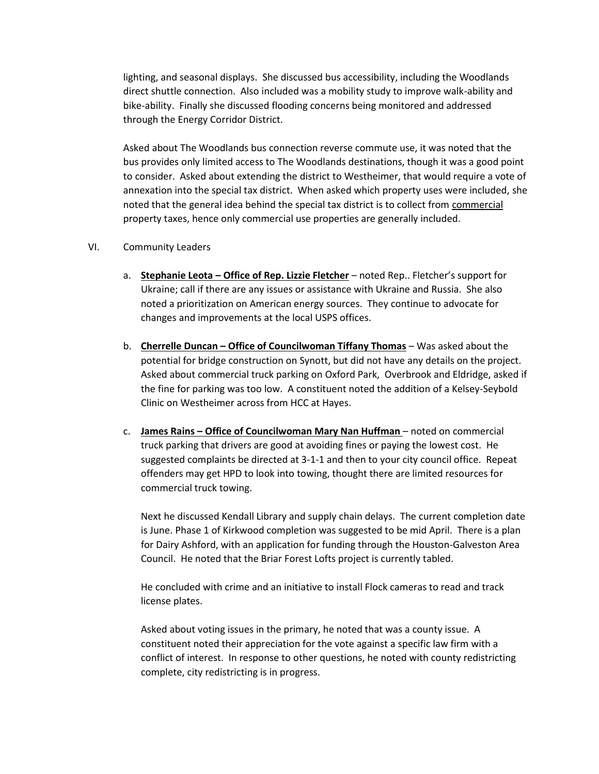lighting, and seasonal displays. She discussed bus accessibility, including the Woodlands direct shuttle connection. Also included was a mobility study to improve walk-ability and bike-ability. Finally she discussed flooding concerns being monitored and addressed through the Energy Corridor District.

Asked about The Woodlands bus connection reverse commute use, it was noted that the bus provides only limited access to The Woodlands destinations, though it was a good point to consider. Asked about extending the district to Westheimer, that would require a vote of annexation into the special tax district. When asked which property uses were included, she noted that the general idea behind the special tax district is to collect from commercial property taxes, hence only commercial use properties are generally included.

## VI. Community Leaders

- a. **Stephanie Leota – Office of Rep. Lizzie Fletcher** noted Rep.. Fletcher's support for Ukraine; call if there are any issues or assistance with Ukraine and Russia. She also noted a prioritization on American energy sources. They continue to advocate for changes and improvements at the local USPS offices.
- b. **Cherrelle Duncan – Office of Councilwoman Tiffany Thomas** Was asked about the potential for bridge construction on Synott, but did not have any details on the project. Asked about commercial truck parking on Oxford Park, Overbrook and Eldridge, asked if the fine for parking was too low. A constituent noted the addition of a Kelsey-Seybold Clinic on Westheimer across from HCC at Hayes.
- c. **James Rains – Office of Councilwoman Mary Nan Huffman**  noted on commercial truck parking that drivers are good at avoiding fines or paying the lowest cost. He suggested complaints be directed at 3-1-1 and then to your city council office. Repeat offenders may get HPD to look into towing, thought there are limited resources for commercial truck towing.

Next he discussed Kendall Library and supply chain delays. The current completion date is June. Phase 1 of Kirkwood completion was suggested to be mid April. There is a plan for Dairy Ashford, with an application for funding through the Houston-Galveston Area Council. He noted that the Briar Forest Lofts project is currently tabled.

He concluded with crime and an initiative to install Flock cameras to read and track license plates.

Asked about voting issues in the primary, he noted that was a county issue. A constituent noted their appreciation for the vote against a specific law firm with a conflict of interest. In response to other questions, he noted with county redistricting complete, city redistricting is in progress.